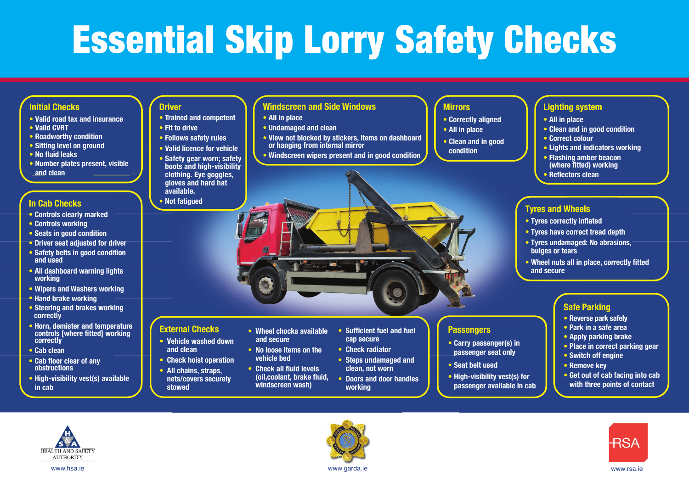# Essential Skip Lorry Safety Checks

### **Initial Checks**

- **• Valid road tax and insurance**
- **• Valid CVRT**
- **• Roadworthy condition**
- **• Sitting level on ground**
- **• No fluid leaks**
- **• Number plates present, visible and clean**

#### **In Cab Checks**

- **• Controls clearly marked**
- **• Controls working**
- **• Seats in good condition**
- **• Driver seat adjusted for driver • Safety belts in good condition and used**
- **• All dashboard warning lights working**
- **• Wipers and Washers working**
- **• Hand brake working**
- **• Steering and brakes working correctly**
- **• Horn, demister and temperature controls [where fitted] working correctly**
- **• Cab clean**
- **• Cab floor clear of any obstructions**
- **• High-visibility vest(s) available in cab**

## **Driver**

- **• Trained and competent**
- **• Fit to drive • Follows safety rules**
- **• Valid licence for vehicle**
- **• Safety gear worn; safety**
- **boots and high-visibility clothing. Eye goggles, gloves and hard hat available.**
- **• Not fatigued**

**External Checks** 

 **and clean**

 **stowed**

**• Vehicle washed down** 

**• Check hoist operation • All chains, straps, nets/covers securely** 

## **Windscreen and Side Windows**

**• All in place**

**• Wheel chocks available** 

 **and secure • No loose items on the vehicle bed • Check all fluid levels (oil,coolant, brake fluid, windscreen wash)**

- **• Undamaged and clean**
- **• View not blocked by stickers, items on dashboard or hanging from internal mirror**
- **• Windscreen wipers present and in good condition**

## **Mirrors**

- **• Correctly aligned**
- **• All in place**
- **• Clean and in good condition**

**Passengers**

**• Seat belt used**

**• Carry passenger(s) in passenger seat only** 

**• High-visibility vest(s) for passenger available in cab**

## **Lighting system**

- **• All in place**
- **• Clean and in good condition**
- **• Correct colour**
- **• Lights and indicators working**
- **• Flashing amber beacon**
- **(where fitted) working**
- **• Reflectors clean**

## **Tyres and Wheels**

- **• Tyres correctly inflated**
- **• Tyres have correct tread depth**
- **• Tyres undamaged: No abrasions, bulges or tears**
- **• Wheel nuts all in place, correctly fitted and secure**

## **Safe Parking**

- **• Reverse park safely**
- **• Park in a safe area**
- **• Apply parking brake**
- **• Place in correct parking gear**
- **• Switch off engine**
- **• Remove key**
- **• Get out of cab facing into cab with three points of contact**





**• Sufficient fuel and fuel** 

 **cap secure • Check radiator • Steps undamaged and clean, not worn • Doors and door handles** 

 **working** 

www.hsa.ie www.rsa.ie www.garda.ie